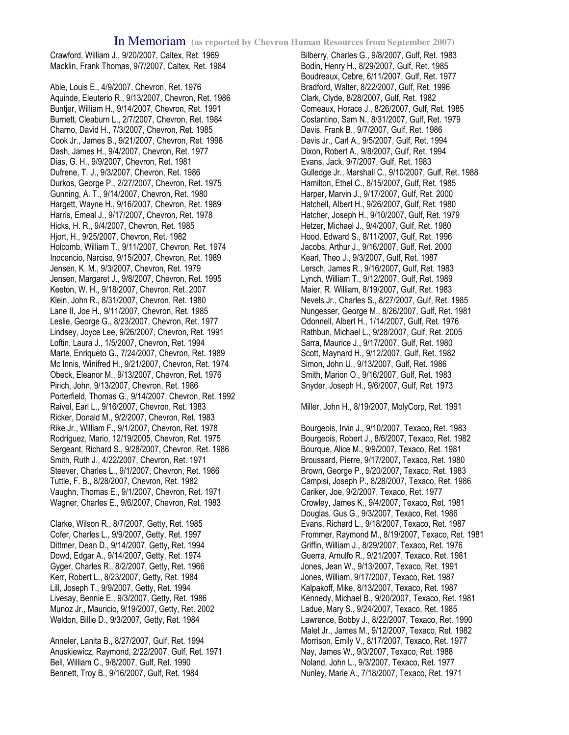Crawford, William J., 9/20/2007, Caltex, Ret. 1969 Macklin, Frank Thomas, 9/7/2007, Caltex, Ret. 1984

Able, Louis E., 4/9/2007, Chevron, Ret. 1976 Aquinde, Eleuterio R., 9/13/2007, Chevron, Ret. 1986 Buntjer, William H., 9/14/2007, Chevron, Ret. 1991 Burnett, Cleaburn L., 2/7/2007, Chevron, Ret. 1984 Charno, David H., 7/3/2007, Chevron, Ret. 1985 Cook Jr., James B., 9/21/2007, Chevron, Ret. 1998 Dash, James H., 9/4/2007, Chevron, Ret. 1977 Dias, G. H., 9/9/2007, Chevron, Ret. 1981 Dufrene, T. J., 9/3/2007, Chevron, Ret. 1986 Durkos, George P., 2/27/2007, Chevron, Ret. 1975 Gunning, A. T., 9/14/2007, Chevron, Ret. 1980 Hargett, Wayne H., 9/16/2007, Chevron, Ret. 1989 Harris, Emeal J., 9/17/2007, Chevron, Ret. 1978 Hicks, H. R., 9/4/2007, Chevron, Ret. 1985 Hjort, H., 9/25/2007, Chevron, Ret. 1982 Holcomb, William T., 9/11/2007, Chevron, Ret. 1974 Inocencio, Narciso, 9/15/2007, Chevron, Ret. 1989 Jensen, K. M., 9/3/2007, Chevron, Ret. 1979 Jensen, Margaret J., 9/8/2007, Chevron, Ret. 1995 Keeton, W. H., 9/18/2007, Chevron, Ret. 2007 Klein, John R., 8/31/2007, Chevron, Ret. 1980 Lane II, Joe H., 9/11/2007, Chevron, Ret. 1985 Leslie, George G., 8/23/2007, Chevron, Ret. 1977 Lindsey, Joyce Lee, 9/26/2007, Chevron, Ret. 1991 Loftin, Laura J., 1/5/2007, Chevron, Ret. 1994 Marte, Enriqueto G., 7/24/2007, Chevron, Ret. 1989 Mc Innis, Winifred H., 9/21/2007, Chevron, Ret. 1974 Obeck, Eleanor M., 9/13/2007, Chevron, Ret. 1976 Pirich, John, 9/13/2007, Chevron, Ret. 1986 Porterfield, Thomas G., 9/14/2007, Chevron, Ret. 1992 Raivel, Earl L., 9/16/2007, Chevron, Ret. 1983 Ricker, Donald M., 9/2/2007, Chevron, Ret. 1983 Rike Jr., William F., 9/1/2007, Chevron, Ret. 1978 Rodriguez, Mario, 12/19/2005, Chevron, Ret. 1975 Sergeant, Richard S., 9/28/2007, Chevron, Ret. 1986 Smith, Ruth J., 4/22/2007, Chevron, Ret. 1971 Steever, Charles L., 9/1/2007, Chevron, Ret. 1986 Tuttle, F. B., 8/28/2007, Chevron, Ret. 1982 Vaughn, Thomas E., 9/1/2007, Chevron, Ret. 1971 Wagner, Charles E., 9/6/2007, Chevron, Ret. 1983

Clarke, Wilson R., 8/7/2007, Getty, Ret. 1985 Cofer, Charles L., 9/9/2007, Getty, Ret. 1997 Dittmer, Dean D., 9/14/2007, Getty, Ret. 1994 Dowd, Edgar A., 9/14/2007, Getty, Ret. 1974 Gyger, Charles R., 8/2/2007, Getty, Ret. 1966 Kerr, Robert L., 8/23/2007, Getty, Ret. 1984 Lill, Joseph T., 9/9/2007, Getty, Ret. 1994 Livesay, Bennie E., 9/3/2007, Getty, Ret. 1986 Munoz Jr., Mauricio, 9/19/2007, Getty, Ret. 2002 Weldon, Billie D., 9/3/2007, Getty, Ret. 1984

Anneler, Lanita B., 8/27/2007, Gulf, Ret. 1994 Anuskiewicz, Raymond, 2/22/2007, Gulf, Ret. 1971 Bell, William C., 9/8/2007, Gulf, Ret. 1990 Bennett, Troy B., 9/16/2007, Gulf, Ret. 1984

Bilberry, Charles G., 9/8/2007, Gulf, Ret. 1983 Bodin, Henry H., 8/29/2007, Gulf, Ret. 1985 Boudreaux, Cebre, 6/11/2007, Gulf, Ret. 1977 Bradford, Walter, 8/22/2007, Gulf, Ret. 1996 Clark, Clyde, 8/28/2007, Gulf, Ret. 1982 Comeaux, Horace J., 8/26/2007, Gulf, Ret. 1985 Costantino, Sam N., 8/31/2007, Gulf, Ret. 1979 Davis, Frank B., 9/7/2007, Gulf, Ret. 1986 Davis Jr., Carl A., 9/5/2007, Gulf, Ret. 1994 Dixon, Robert A., 9/8/2007, Gulf, Ret. 1994 Evans, Jack, 9/7/2007, Gulf, Ret. 1983 Gulledge Jr., Marshall C., 9/10/2007, Gulf, Ret. 1988 Hamilton, Ethel C., 8/15/2007, Gulf, Ret. 1985 Harper, Marvin J., 9/17/2007, Gulf, Ret. 2000 Hatchell, Albert H., 9/26/2007, Gulf, Ret. 1980 Hatcher, Joseph H., 9/10/2007, Gulf, Ret. 1979 Hetzer, Michael J., 9/4/2007, Gulf, Ret. 1980 Hood, Edward S., 8/11/2007, Gulf, Ret. 1996 Jacobs, Arthur J., 9/16/2007, Gulf, Ret. 2000 Kearl, Theo J., 9/3/2007, Gulf, Ret. 1987 Lersch, James R., 9/16/2007, Gulf, Ret. 1983 Lynch, William T., 9/12/2007, Gulf, Ret. 1989 Maier, R. William, 8/19/2007, Gulf, Ret. 1983 Nevels Jr., Charles S., 8/27/2007, Gulf, Ret. 1985 Nungesser, George M., 8/26/2007, Gulf, Ret. 1981 Odonnell, Albert H., 1/14/2007, Gulf, Ret. 1976 Rathbun, Michael L., 9/28/2007, Gulf, Ret. 2005 Sarra, Maurice J., 9/17/2007, Gulf, Ret. 1980 Scott, Maynard H., 9/12/2007, Gulf, Ret. 1982 Simon, John U., 9/13/2007, Gulf, Ret. 1986 Smith, Marion O., 9/16/2007, Gulf, Ret. 1983 Snyder, Joseph H., 9/6/2007, Gulf, Ret. 1973

Miller, John H., 8/19/2007, MolyCorp, Ret. 1991

Bourgeois, Irvin J., 9/10/2007, Texaco, Ret. 1983 Bourgeois, Robert J., 8/6/2007, Texaco, Ret. 1982 Bourque, Alice M., 9/9/2007, Texaco, Ret. 1981 Broussard, Pierre, 9/17/2007, Texaco, Ret. 1980 Brown, George P., 9/20/2007, Texaco, Ret. 1983 Campisi, Joseph P., 8/28/2007, Texaco, Ret. 1986 Cariker, Joe, 9/2/2007, Texaco, Ret. 1977 Crowley, James K., 9/4/2007, Texaco, Ret. 1981 Douglas, Gus G., 9/3/2007, Texaco, Ret. 1986 Evans, Richard L., 9/18/2007, Texaco, Ret. 1987 Frommer, Raymond M., 8/19/2007, Texaco, Ret. 1981 Griffin, William J., 8/29/2007, Texaco, Ret. 1976 Guerra, Arnulfo R., 9/21/2007, Texaco, Ret. 1981 Jones, Jean W., 9/13/2007, Texaco, Ret. 1991 Jones, William, 9/17/2007, Texaco, Ret. 1987 Kalpakoff, Mike, 8/13/2007, Texaco, Ret. 1987 Kennedy, Michael B., 9/20/2007, Texaco, Ret. 1981 Ladue, Mary S., 9/24/2007, Texaco, Ret. 1985 Lawrence, Bobby J., 8/22/2007, Texaco, Ret. 1990 Malet Jr., James M., 9/12/2007, Texaco, Ret. 1982 Morrison, Emily V., 8/17/2007, Texaco, Ret. 1977 Nay, James W., 9/3/2007, Texaco, Ret. 1988 Noland, John L., 9/3/2007, Texaco, Ret. 1977 Nunley, Marie A., 7/18/2007, Texaco, Ret. 1971